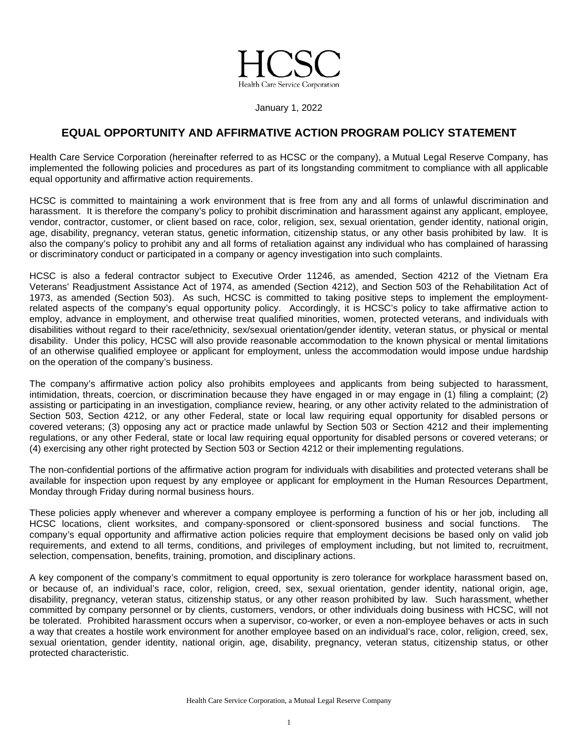

January 1, 2022

## **EQUAL OPPORTUNITY AND AFFIRMATIVE ACTION PROGRAM POLICY STATEMENT**

Health Care Service Corporation (hereinafter referred to as HCSC or the company), a Mutual Legal Reserve Company, has implemented the following policies and procedures as part of its longstanding commitment to compliance with all applicable equal opportunity and affirmative action requirements.

HCSC is committed to maintaining a work environment that is free from any and all forms of unlawful discrimination and harassment. It is therefore the company's policy to prohibit discrimination and harassment against any applicant, employee, vendor, contractor, customer, or client based on race, color, religion, sex, sexual orientation, gender identity, national origin, age, disability, pregnancy, veteran status, genetic information, citizenship status, or any other basis prohibited by law. It is also the company's policy to prohibit any and all forms of retaliation against any individual who has complained of harassing or discriminatory conduct or participated in a company or agency investigation into such complaints.

HCSC is also a federal contractor subject to Executive Order 11246, as amended, Section 4212 of the Vietnam Era Veterans' Readjustment Assistance Act of 1974, as amended (Section 4212), and Section 503 of the Rehabilitation Act of 1973, as amended (Section 503). As such, HCSC is committed to taking positive steps to implement the employmentrelated aspects of the company's equal opportunity policy. Accordingly, it is HCSC's policy to take affirmative action to employ, advance in employment, and otherwise treat qualified minorities, women, protected veterans, and individuals with disabilities without regard to their race/ethnicity, sex/sexual orientation/gender identity, veteran status, or physical or mental disability. Under this policy, HCSC will also provide reasonable accommodation to the known physical or mental limitations of an otherwise qualified employee or applicant for employment, unless the accommodation would impose undue hardship on the operation of the company's business.

The company's affirmative action policy also prohibits employees and applicants from being subjected to harassment, intimidation, threats, coercion, or discrimination because they have engaged in or may engage in (1) filing a complaint; (2) assisting or participating in an investigation, compliance review, hearing, or any other activity related to the administration of Section 503, Section 4212, or any other Federal, state or local law requiring equal opportunity for disabled persons or covered veterans; (3) opposing any act or practice made unlawful by Section 503 or Section 4212 and their implementing regulations, or any other Federal, state or local law requiring equal opportunity for disabled persons or covered veterans; or (4) exercising any other right protected by Section 503 or Section 4212 or their implementing regulations.

The non-confidential portions of the affirmative action program for individuals with disabilities and protected veterans shall be available for inspection upon request by any employee or applicant for employment in the Human Resources Department, Monday through Friday during normal business hours.

These policies apply whenever and wherever a company employee is performing a function of his or her job, including all HCSC locations, client worksites, and company-sponsored or client-sponsored business and social functions. The company's equal opportunity and affirmative action policies require that employment decisions be based only on valid job requirements, and extend to all terms, conditions, and privileges of employment including, but not limited to, recruitment, selection, compensation, benefits, training, promotion, and disciplinary actions.

A key component of the company's commitment to equal opportunity is zero tolerance for workplace harassment based on, or because of, an individual's race, color, religion, creed, sex, sexual orientation, gender identity, national origin, age, disability, pregnancy, veteran status, citizenship status, or any other reason prohibited by law. Such harassment, whether committed by company personnel or by clients, customers, vendors, or other individuals doing business with HCSC, will not be tolerated. Prohibited harassment occurs when a supervisor, co-worker, or even a non-employee behaves or acts in such a way that creates a hostile work environment for another employee based on an individual's race, color, religion, creed, sex, sexual orientation, gender identity, national origin, age, disability, pregnancy, veteran status, citizenship status, or other protected characteristic.